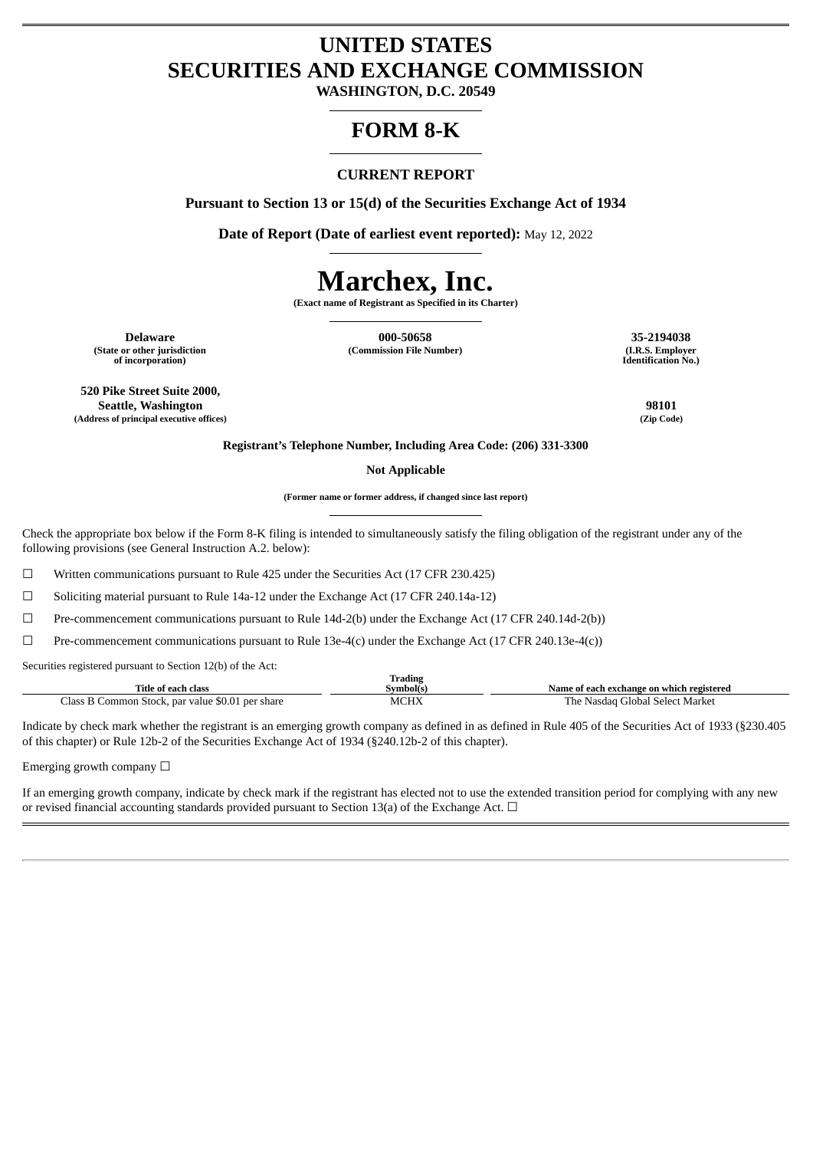# **UNITED STATES SECURITIES AND EXCHANGE COMMISSION**

**WASHINGTON, D.C. 20549**

# **FORM 8-K**

#### **CURRENT REPORT**

**Pursuant to Section 13 or 15(d) of the Securities Exchange Act of 1934**

**Date of Report (Date of earliest event reported):** May 12, 2022

# **Marchex, Inc.**

**(Exact name of Registrant as Specified in its Charter)**

**(State or other jurisdiction of incorporation)**

**Delaware 000-50658 35-2194038 (Commission File Number) (I.R.S. Employer**

**Identification No.)**

**520 Pike Street Suite 2000, Seattle, Washington 98101 (Address of principal executive offices) (Zip Code)**

**Registrant's Telephone Number, Including Area Code: (206) 331-3300**

**Not Applicable**

**(Former name or former address, if changed since last report)**

Check the appropriate box below if the Form 8-K filing is intended to simultaneously satisfy the filing obligation of the registrant under any of the following provisions (see General Instruction A.2. below):

☐ Written communications pursuant to Rule 425 under the Securities Act (17 CFR 230.425)

☐ Soliciting material pursuant to Rule 14a-12 under the Exchange Act (17 CFR 240.14a-12)

☐ Pre-commencement communications pursuant to Rule 14d-2(b) under the Exchange Act (17 CFR 240.14d-2(b))

☐ Pre-commencement communications pursuant to Rule 13e-4(c) under the Exchange Act (17 CFR 240.13e-4(c))

Securities registered pursuant to Section 12(b) of the Act:

|                                                               | [rading   |                                           |
|---------------------------------------------------------------|-----------|-------------------------------------------|
| Title of each class                                           | Symbol(s) | Name of each exchange on which registered |
| $\cap$ lass R ( .<br>Common Stock, par value \$0.01 per share | мснх      | The Nasdag Global Select Market           |

Indicate by check mark whether the registrant is an emerging growth company as defined in as defined in Rule 405 of the Securities Act of 1933 (§230.405 of this chapter) or Rule 12b-2 of the Securities Exchange Act of 1934 (§240.12b-2 of this chapter).

Emerging growth company  $\Box$ 

If an emerging growth company, indicate by check mark if the registrant has elected not to use the extended transition period for complying with any new or revised financial accounting standards provided pursuant to Section 13(a) of the Exchange Act.  $\Box$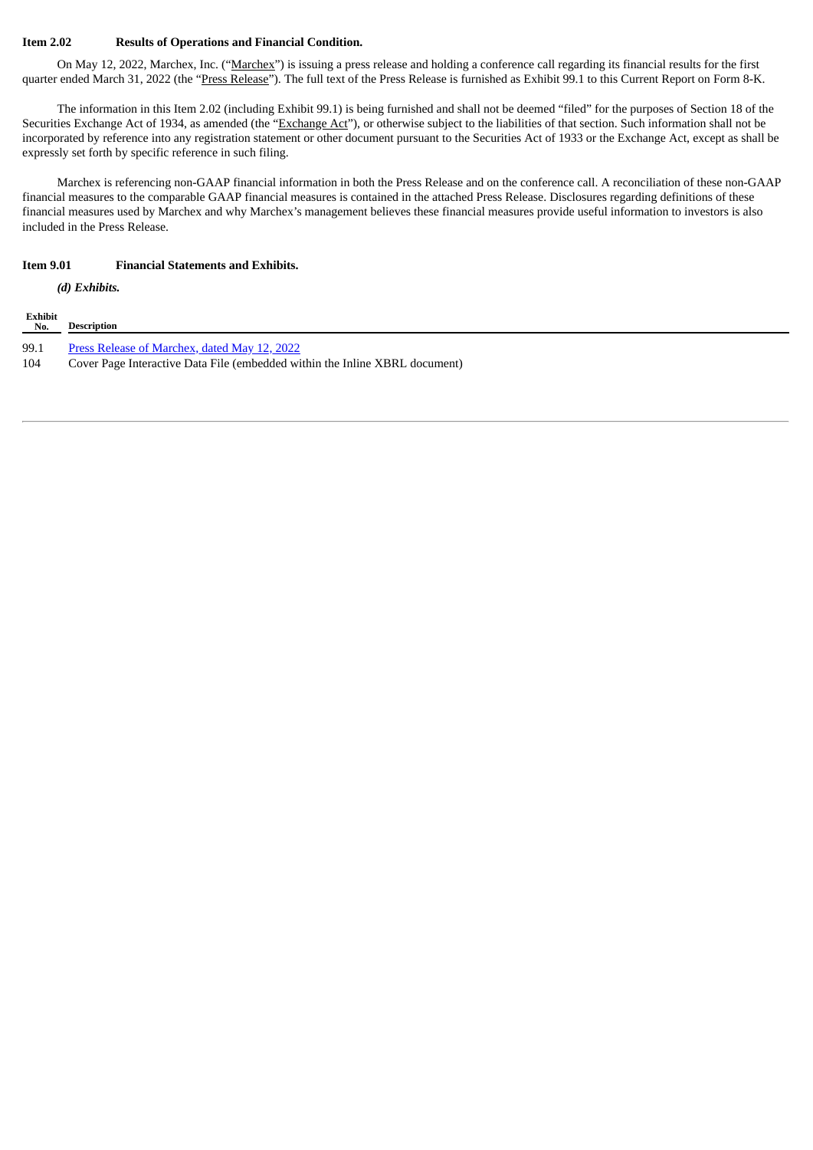#### **Item 2.02 Results of Operations and Financial Condition.**

On May 12, 2022, Marchex, Inc. ("Marchex") is issuing a press release and holding a conference call regarding its financial results for the first quarter ended March 31, 2022 (the "Press Release"). The full text of the Press Release is furnished as Exhibit 99.1 to this Current Report on Form 8-K.

The information in this Item 2.02 (including Exhibit 99.1) is being furnished and shall not be deemed "filed" for the purposes of Section 18 of the Securities Exchange Act of 1934, as amended (the "Exchange Act"), or otherwise subject to the liabilities of that section. Such information shall not be incorporated by reference into any registration statement or other document pursuant to the Securities Act of 1933 or the Exchange Act, except as shall be expressly set forth by specific reference in such filing.

Marchex is referencing non-GAAP financial information in both the Press Release and on the conference call. A reconciliation of these non-GAAP financial measures to the comparable GAAP financial measures is contained in the attached Press Release. Disclosures regarding definitions of these financial measures used by Marchex and why Marchex's management believes these financial measures provide useful information to investors is also included in the Press Release.

#### **Item 9.01 Financial Statements and Exhibits.**

*(d) Exhibits.*

| <b>Exhibit</b><br>No. | Description                                                                 |
|-----------------------|-----------------------------------------------------------------------------|
| 99.1                  | <u>Press Release of Marchex, dated May 12, 2022</u>                         |
| 104                   | Cover Page Interactive Data File (embedded within the Inline XBRL document) |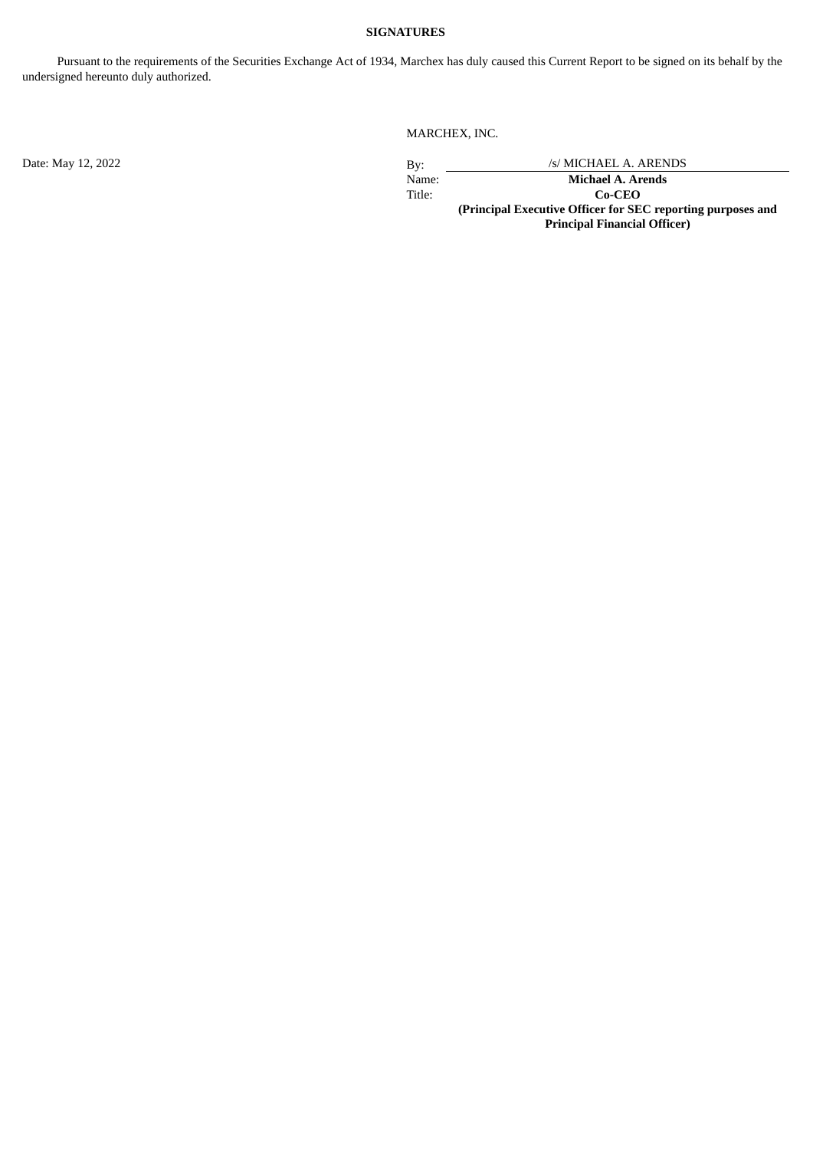#### **SIGNATURES**

Pursuant to the requirements of the Securities Exchange Act of 1934, Marchex has duly caused this Current Report to be signed on its behalf by the undersigned hereunto duly authorized.

Date: May 12, 2022 By:

MARCHEX, INC.

/s/ MICHAEL A. ARENDS

Name: **Michael A. Arends** Title: **Co-CEO**

**(Principal Executive Officer for SEC reporting purposes and Principal Financial Officer)**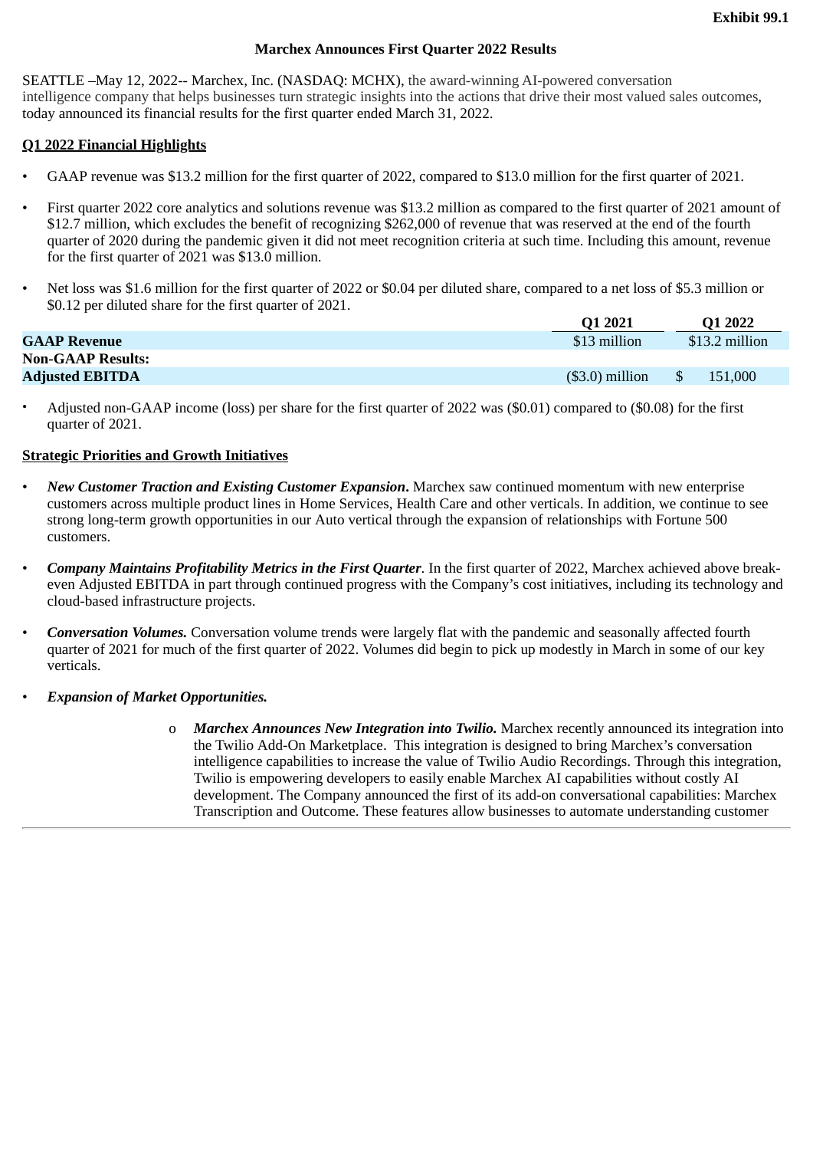#### **Marchex Announces First Quarter 2022 Results**

<span id="page-3-0"></span>SEATTLE –May 12, 2022-- Marchex, Inc. (NASDAQ: MCHX), the award-winning AI-powered conversation intelligence company that helps businesses turn strategic insights into the actions that drive their most valued sales outcomes, today announced its financial results for the first quarter ended March 31, 2022.

## **Q1 2022 Financial Highlights**

- GAAP revenue was \$13.2 million for the first quarter of 2022, compared to \$13.0 million for the first quarter of 2021.
- First quarter 2022 core analytics and solutions revenue was \$13.2 million as compared to the first quarter of 2021 amount of \$12.7 million, which excludes the benefit of recognizing \$262,000 of revenue that was reserved at the end of the fourth quarter of 2020 during the pandemic given it did not meet recognition criteria at such time. Including this amount, revenue for the first quarter of 2021 was \$13.0 million.
- Net loss was \$1.6 million for the first quarter of 2022 or \$0.04 per diluted share, compared to a net loss of \$5.3 million or \$0.12 per diluted share for the first quarter of 2021.

|                          | O <sub>1</sub> 2021 | O1 2022         |
|--------------------------|---------------------|-----------------|
| <b>GAAP Revenue</b>      | \$13 million        | $$13.2$ million |
| <b>Non-GAAP Results:</b> |                     |                 |
| <b>Adjusted EBITDA</b>   | $($ \$3.0) million  | 151,000         |

• Adjusted non-GAAP income (loss) per share for the first quarter of 2022 was (\$0.01) compared to (\$0.08) for the first quarter of 2021.

#### **Strategic Priorities and Growth Initiatives**

- *New Customer Traction and Existing Customer Expansion***.** Marchex saw continued momentum with new enterprise customers across multiple product lines in Home Services, Health Care and other verticals. In addition, we continue to see strong long-term growth opportunities in our Auto vertical through the expansion of relationships with Fortune 500 customers.
- *Company Maintains Profitability Metrics in the First Quarter*. In the first quarter of 2022, Marchex achieved above breakeven Adjusted EBITDA in part through continued progress with the Company's cost initiatives, including its technology and cloud-based infrastructure projects.
- *Conversation Volumes.* Conversation volume trends were largely flat with the pandemic and seasonally affected fourth quarter of 2021 for much of the first quarter of 2022. Volumes did begin to pick up modestly in March in some of our key verticals.
- *Expansion of Market Opportunities.*
	- o *Marchex Announces New Integration into Twilio.* Marchex recently announced its integration into the Twilio Add-On Marketplace. This integration is designed to bring Marchex's conversation intelligence capabilities to increase the value of Twilio Audio Recordings. Through this integration, Twilio is empowering developers to easily enable Marchex AI capabilities without costly AI development. The Company announced the first of its add-on conversational capabilities: Marchex Transcription and Outcome. These features allow businesses to automate understanding customer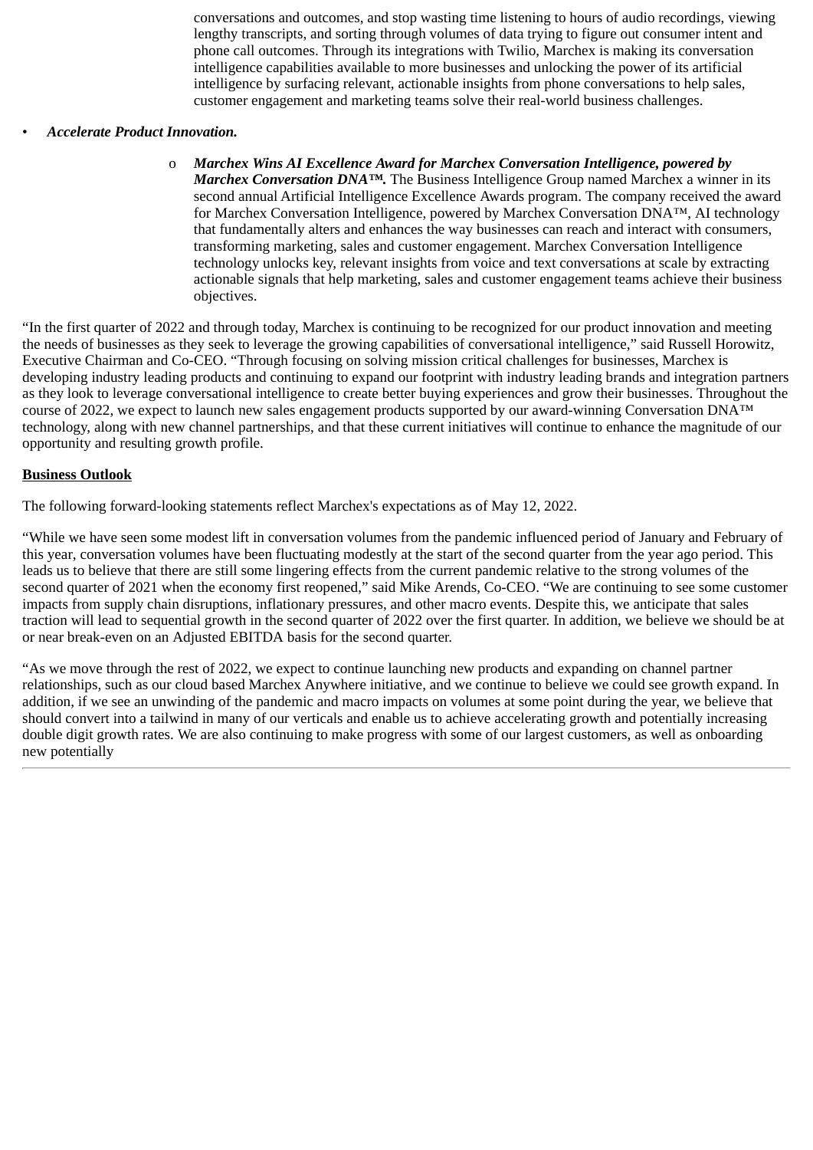conversations and outcomes, and stop wasting time listening to hours of audio recordings, viewing lengthy transcripts, and sorting through volumes of data trying to figure out consumer intent and phone call outcomes. Through its integrations with Twilio, Marchex is making its conversation intelligence capabilities available to more businesses and unlocking the power of its artificial intelligence by surfacing relevant, actionable insights from phone conversations to help sales, customer engagement and marketing teams solve their real-world business challenges.

#### • *Accelerate Product Innovation.*

o *Marchex Wins AI Excellence Award for Marchex Conversation Intelligence, powered by Marchex Conversation DNA™.* The Business Intelligence Group named Marchex a winner in its second annual Artificial Intelligence Excellence Awards program. The company received the award for Marchex Conversation Intelligence, powered by Marchex Conversation DNA™, AI technology that fundamentally alters and enhances the way businesses can reach and interact with consumers, transforming marketing, sales and customer engagement. Marchex Conversation Intelligence technology unlocks key, relevant insights from voice and text conversations at scale by extracting actionable signals that help marketing, sales and customer engagement teams achieve their business objectives.

"In the first quarter of 2022 and through today, Marchex is continuing to be recognized for our product innovation and meeting the needs of businesses as they seek to leverage the growing capabilities of conversational intelligence," said Russell Horowitz, Executive Chairman and Co-CEO. "Through focusing on solving mission critical challenges for businesses, Marchex is developing industry leading products and continuing to expand our footprint with industry leading brands and integration partners as they look to leverage conversational intelligence to create better buying experiences and grow their businesses. Throughout the course of 2022, we expect to launch new sales engagement products supported by our award-winning Conversation DNA™ technology, along with new channel partnerships, and that these current initiatives will continue to enhance the magnitude of our opportunity and resulting growth profile.

#### **Business Outlook**

The following forward-looking statements reflect Marchex's expectations as of May 12, 2022.

"While we have seen some modest lift in conversation volumes from the pandemic influenced period of January and February of this year, conversation volumes have been fluctuating modestly at the start of the second quarter from the year ago period. This leads us to believe that there are still some lingering effects from the current pandemic relative to the strong volumes of the second quarter of 2021 when the economy first reopened," said Mike Arends, Co-CEO. "We are continuing to see some customer impacts from supply chain disruptions, inflationary pressures, and other macro events. Despite this, we anticipate that sales traction will lead to sequential growth in the second quarter of 2022 over the first quarter. In addition, we believe we should be at or near break-even on an Adjusted EBITDA basis for the second quarter.

"As we move through the rest of 2022, we expect to continue launching new products and expanding on channel partner relationships, such as our cloud based Marchex Anywhere initiative, and we continue to believe we could see growth expand. In addition, if we see an unwinding of the pandemic and macro impacts on volumes at some point during the year, we believe that should convert into a tailwind in many of our verticals and enable us to achieve accelerating growth and potentially increasing double digit growth rates. We are also continuing to make progress with some of our largest customers, as well as onboarding new potentially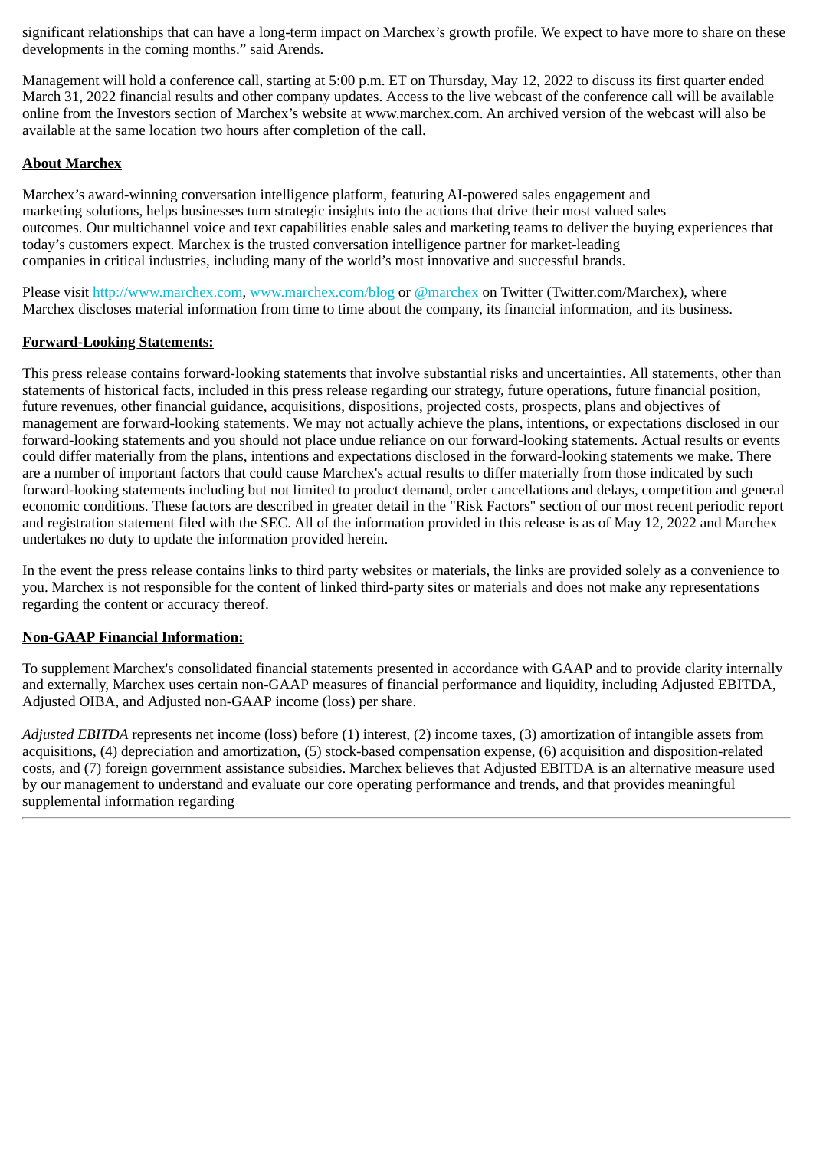significant relationships that can have a long-term impact on Marchex's growth profile. We expect to have more to share on these developments in the coming months." said Arends.

Management will hold a conference call, starting at 5:00 p.m. ET on Thursday, May 12, 2022 to discuss its first quarter ended March 31, 2022 financial results and other company updates. Access to the live webcast of the conference call will be available online from the Investors section of Marchex's website at www.marchex.com. An archived version of the webcast will also be available at the same location two hours after completion of the call.

## **About Marchex**

Marchex's award-winning conversation intelligence platform, featuring AI-powered sales engagement and marketing solutions, helps businesses turn strategic insights into the actions that drive their most valued sales outcomes. Our multichannel voice and text capabilities enable sales and marketing teams to deliver the buying experiences that today's customers expect. Marchex is the trusted conversation intelligence partner for market-leading companies in critical industries, including many of the world's most innovative and successful brands.

Please visit http://www.marchex.com, www.marchex.com/blog or @marchex on Twitter (Twitter.com/Marchex), where Marchex discloses material information from time to time about the company, its financial information, and its business.

## **Forward-Looking Statements:**

This press release contains forward-looking statements that involve substantial risks and uncertainties. All statements, other than statements of historical facts, included in this press release regarding our strategy, future operations, future financial position, future revenues, other financial guidance, acquisitions, dispositions, projected costs, prospects, plans and objectives of management are forward-looking statements. We may not actually achieve the plans, intentions, or expectations disclosed in our forward-looking statements and you should not place undue reliance on our forward-looking statements. Actual results or events could differ materially from the plans, intentions and expectations disclosed in the forward-looking statements we make. There are a number of important factors that could cause Marchex's actual results to differ materially from those indicated by such forward-looking statements including but not limited to product demand, order cancellations and delays, competition and general economic conditions. These factors are described in greater detail in the "Risk Factors" section of our most recent periodic report and registration statement filed with the SEC. All of the information provided in this release is as of May 12, 2022 and Marchex undertakes no duty to update the information provided herein.

In the event the press release contains links to third party websites or materials, the links are provided solely as a convenience to you. Marchex is not responsible for the content of linked third-party sites or materials and does not make any representations regarding the content or accuracy thereof.

#### **Non-GAAP Financial Information:**

To supplement Marchex's consolidated financial statements presented in accordance with GAAP and to provide clarity internally and externally, Marchex uses certain non-GAAP measures of financial performance and liquidity, including Adjusted EBITDA, Adjusted OIBA, and Adjusted non-GAAP income (loss) per share.

*Adjusted EBITDA* represents net income (loss) before (1) interest, (2) income taxes, (3) amortization of intangible assets from acquisitions, (4) depreciation and amortization, (5) stock-based compensation expense, (6) acquisition and disposition-related costs, and (7) foreign government assistance subsidies. Marchex believes that Adjusted EBITDA is an alternative measure used by our management to understand and evaluate our core operating performance and trends, and that provides meaningful supplemental information regarding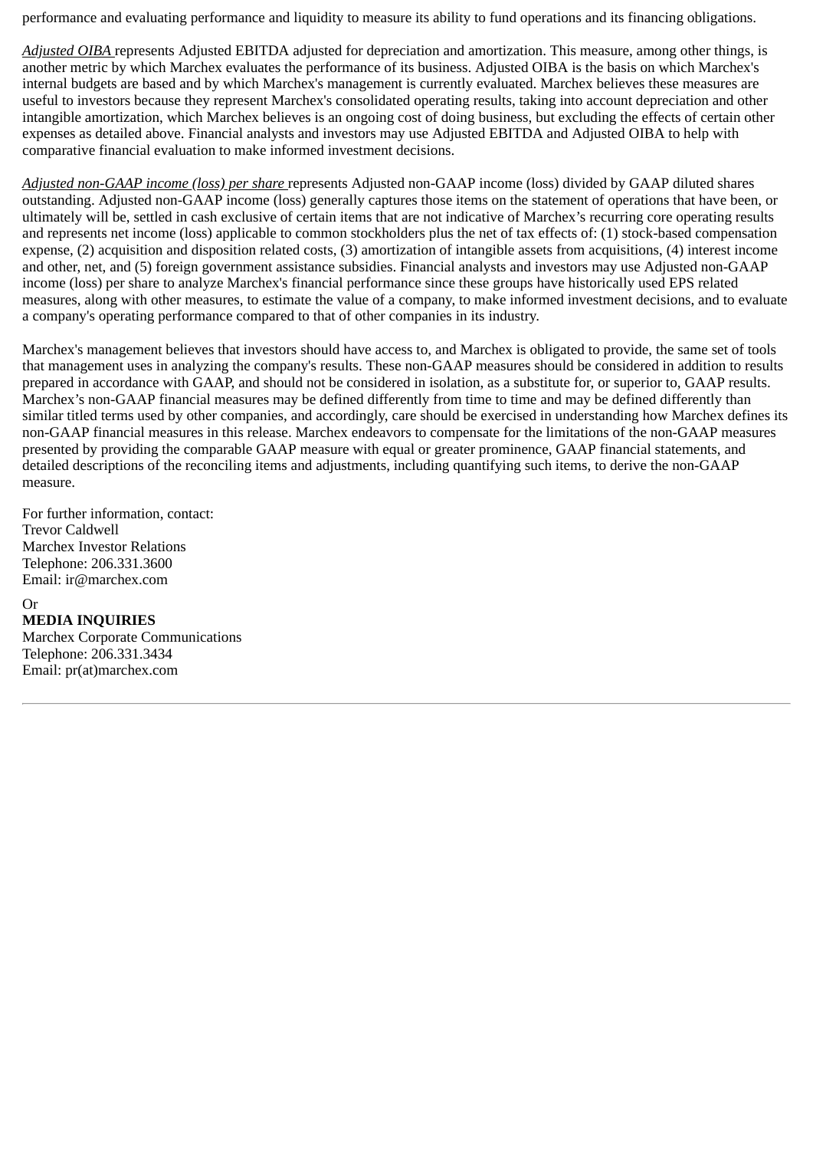performance and evaluating performance and liquidity to measure its ability to fund operations and its financing obligations.

*Adjusted OIBA* represents Adjusted EBITDA adjusted for depreciation and amortization. This measure, among other things, is another metric by which Marchex evaluates the performance of its business. Adjusted OIBA is the basis on which Marchex's internal budgets are based and by which Marchex's management is currently evaluated. Marchex believes these measures are useful to investors because they represent Marchex's consolidated operating results, taking into account depreciation and other intangible amortization, which Marchex believes is an ongoing cost of doing business, but excluding the effects of certain other expenses as detailed above. Financial analysts and investors may use Adjusted EBITDA and Adjusted OIBA to help with comparative financial evaluation to make informed investment decisions.

*Adjusted non-GAAP income (loss) per share* represents Adjusted non-GAAP income (loss) divided by GAAP diluted shares outstanding. Adjusted non-GAAP income (loss) generally captures those items on the statement of operations that have been, or ultimately will be, settled in cash exclusive of certain items that are not indicative of Marchex's recurring core operating results and represents net income (loss) applicable to common stockholders plus the net of tax effects of: (1) stock-based compensation expense, (2) acquisition and disposition related costs, (3) amortization of intangible assets from acquisitions, (4) interest income and other, net, and (5) foreign government assistance subsidies. Financial analysts and investors may use Adjusted non-GAAP income (loss) per share to analyze Marchex's financial performance since these groups have historically used EPS related measures, along with other measures, to estimate the value of a company, to make informed investment decisions, and to evaluate a company's operating performance compared to that of other companies in its industry.

Marchex's management believes that investors should have access to, and Marchex is obligated to provide, the same set of tools that management uses in analyzing the company's results. These non-GAAP measures should be considered in addition to results prepared in accordance with GAAP, and should not be considered in isolation, as a substitute for, or superior to, GAAP results. Marchex's non-GAAP financial measures may be defined differently from time to time and may be defined differently than similar titled terms used by other companies, and accordingly, care should be exercised in understanding how Marchex defines its non-GAAP financial measures in this release. Marchex endeavors to compensate for the limitations of the non-GAAP measures presented by providing the comparable GAAP measure with equal or greater prominence, GAAP financial statements, and detailed descriptions of the reconciling items and adjustments, including quantifying such items, to derive the non-GAAP measure.

For further information, contact: Trevor Caldwell Marchex Investor Relations Telephone: 206.331.3600 Email: ir@marchex.com

# Or

### **MEDIA INQUIRIES**

Marchex Corporate Communications Telephone: 206.331.3434 Email: pr(at)marchex.com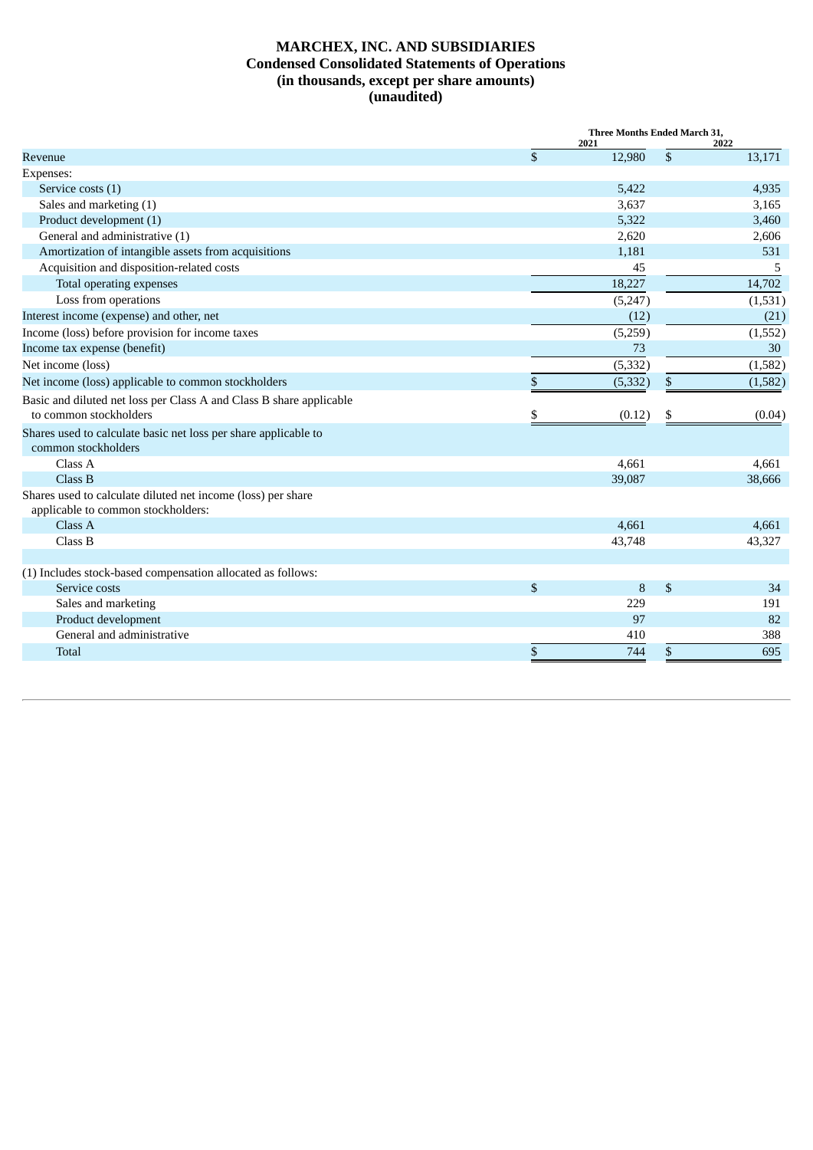## **MARCHEX, INC. AND SUBSIDIARIES Condensed Consolidated Statements of Operations (in thousands, except per share amounts) (unaudited)**

|                                                                                                    |              | Three Months Ended March 31, |     |                |  |
|----------------------------------------------------------------------------------------------------|--------------|------------------------------|-----|----------------|--|
| Revenue                                                                                            | $\mathbb{S}$ | 2021<br>12,980               | \$  | 2022<br>13,171 |  |
| Expenses:                                                                                          |              |                              |     |                |  |
| Service costs (1)                                                                                  |              | 5,422                        |     | 4,935          |  |
| Sales and marketing (1)                                                                            |              | 3,637                        |     | 3,165          |  |
| Product development (1)                                                                            |              | 5,322                        |     | 3,460          |  |
| General and administrative (1)                                                                     |              | 2,620                        |     | 2,606          |  |
| Amortization of intangible assets from acquisitions                                                |              | 1,181                        |     | 531            |  |
| Acquisition and disposition-related costs                                                          |              | 45                           |     | 5.             |  |
| Total operating expenses                                                                           |              | 18,227                       |     | 14,702         |  |
| Loss from operations                                                                               |              | (5,247)                      |     | (1,531)        |  |
| Interest income (expense) and other, net                                                           |              | (12)                         |     | (21)           |  |
| Income (loss) before provision for income taxes                                                    |              | (5,259)                      |     | (1, 552)       |  |
| Income tax expense (benefit)                                                                       |              | 73                           |     | 30             |  |
| Net income (loss)                                                                                  |              | (5, 332)                     |     | (1,582)        |  |
| Net income (loss) applicable to common stockholders                                                | \$           | (5, 332)                     | \$. | (1,582)        |  |
| Basic and diluted net loss per Class A and Class B share applicable                                |              |                              |     |                |  |
| to common stockholders                                                                             | \$           | (0.12)                       | \$  | (0.04)         |  |
| Shares used to calculate basic net loss per share applicable to                                    |              |                              |     |                |  |
| common stockholders                                                                                |              |                              |     |                |  |
| Class A                                                                                            |              | 4,661                        |     | 4,661          |  |
| Class B                                                                                            |              | 39,087                       |     | 38,666         |  |
| Shares used to calculate diluted net income (loss) per share<br>applicable to common stockholders: |              |                              |     |                |  |
| Class A                                                                                            |              | 4,661                        |     | 4,661          |  |
| Class B                                                                                            |              | 43,748                       |     | 43,327         |  |
|                                                                                                    |              |                              |     |                |  |
| (1) Includes stock-based compensation allocated as follows:                                        |              |                              |     |                |  |
| Service costs                                                                                      | $\mathbb{S}$ | 8                            | \$  | 34             |  |
| Sales and marketing                                                                                |              | 229                          |     | 191            |  |
| Product development                                                                                |              | 97                           |     | 82             |  |
| General and administrative                                                                         |              | 410                          |     | 388            |  |
| <b>Total</b>                                                                                       | \$           | 744                          | \$  | 695            |  |
|                                                                                                    |              |                              |     |                |  |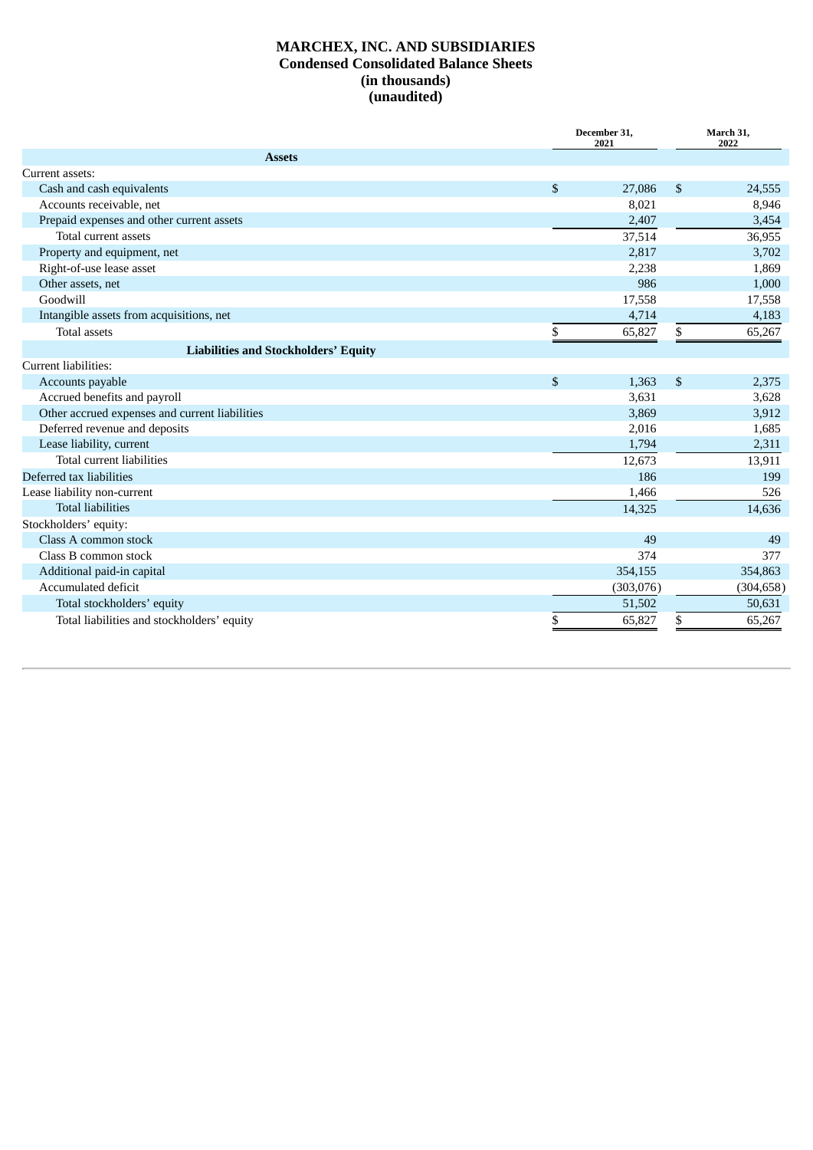#### **MARCHEX, INC. AND SUBSIDIARIES Condensed Consolidated Balance Sheets (in thousands) (unaudited)**

|                                                | December 31,<br>2021 |    | March 31,<br>2022 |  |
|------------------------------------------------|----------------------|----|-------------------|--|
| <b>Assets</b>                                  |                      |    |                   |  |
| Current assets:                                |                      |    |                   |  |
| Cash and cash equivalents                      | \$<br>27,086         | \$ | 24,555            |  |
| Accounts receivable, net                       | 8,021                |    | 8,946             |  |
| Prepaid expenses and other current assets      | 2,407                |    | 3,454             |  |
| Total current assets                           | 37,514               |    | 36,955            |  |
| Property and equipment, net                    | 2,817                |    | 3,702             |  |
| Right-of-use lease asset                       | 2,238                |    | 1,869             |  |
| Other assets, net                              | 986                  |    | 1,000             |  |
| Goodwill                                       | 17,558               |    | 17,558            |  |
| Intangible assets from acquisitions, net       | 4,714                |    | 4,183             |  |
| <b>Total assets</b>                            | \$<br>65,827         | \$ | 65,267            |  |
| <b>Liabilities and Stockholders' Equity</b>    |                      |    |                   |  |
| Current liabilities:                           |                      |    |                   |  |
| Accounts payable                               | \$<br>1,363          | \$ | 2,375             |  |
| Accrued benefits and payroll                   | 3,631                |    | 3,628             |  |
| Other accrued expenses and current liabilities | 3,869                |    | 3,912             |  |
| Deferred revenue and deposits                  | 2,016                |    | 1,685             |  |
| Lease liability, current                       | 1,794                |    | 2,311             |  |
| <b>Total current liabilities</b>               | 12,673               |    | 13,911            |  |
| Deferred tax liabilities                       | 186                  |    | 199               |  |
| Lease liability non-current                    | 1,466                |    | 526               |  |
| <b>Total liabilities</b>                       | 14,325               |    | 14,636            |  |
| Stockholders' equity:                          |                      |    |                   |  |
| Class A common stock                           | 49                   |    | 49                |  |
| Class B common stock                           | 374                  |    | 377               |  |
| Additional paid-in capital                     | 354,155              |    | 354,863           |  |
| Accumulated deficit                            | (303,076)            |    | (304, 658)        |  |
| Total stockholders' equity                     | 51,502               |    | 50,631            |  |
| Total liabilities and stockholders' equity     | \$<br>65,827         | \$ | 65,267            |  |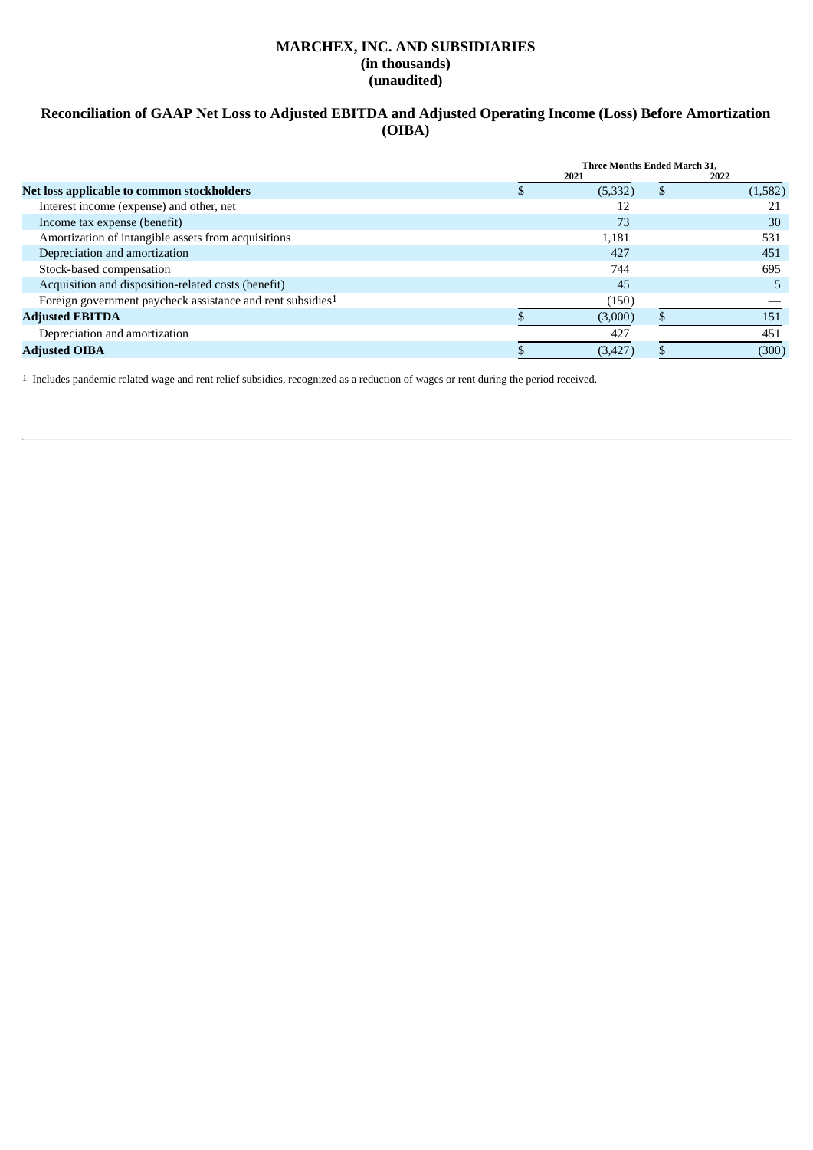#### **MARCHEX, INC. AND SUBSIDIARIES (in thousands) (unaudited)**

## **Reconciliation of GAAP Net Loss to Adjusted EBITDA and Adjusted Operating Income (Loss) Before Amortization (OIBA)**

|                                                                        | <b>Three Months Ended March 31,</b> |    |         |  |
|------------------------------------------------------------------------|-------------------------------------|----|---------|--|
|                                                                        | 2021                                |    | 2022    |  |
| Net loss applicable to common stockholders                             | (5,332)                             | \$ | (1,582) |  |
| Interest income (expense) and other, net                               | 12                                  |    | 21      |  |
| Income tax expense (benefit)                                           | 73                                  |    | 30      |  |
| Amortization of intangible assets from acquisitions                    | 1,181                               |    | 531     |  |
| Depreciation and amortization                                          | 427                                 |    | 451     |  |
| Stock-based compensation                                               | 744                                 |    | 695     |  |
| Acquisition and disposition-related costs (benefit)                    | 45                                  |    | כ       |  |
| Foreign government paycheck assistance and rent subsidies <sup>1</sup> | (150)                               |    |         |  |
| <b>Adjusted EBITDA</b>                                                 | (3,000)                             |    | 151     |  |
| Depreciation and amortization                                          | 427                                 |    | 451     |  |
| <b>Adjusted OIBA</b>                                                   | (3, 427)                            | J. | (300)   |  |

1 Includes pandemic related wage and rent relief subsidies, recognized as a reduction of wages or rent during the period received.